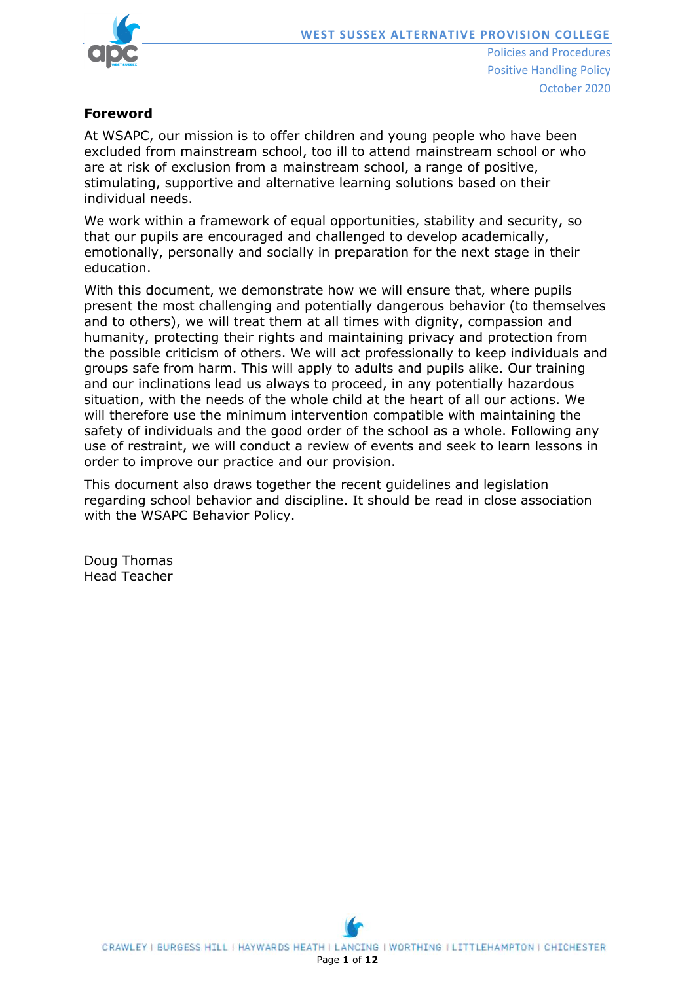



# **Foreword**

At WSAPC, our mission is to offer children and young people who have been excluded from mainstream school, too ill to attend mainstream school or who are at risk of exclusion from a mainstream school, a range of positive, stimulating, supportive and alternative learning solutions based on their individual needs.

We work within a framework of equal opportunities, stability and security, so that our pupils are encouraged and challenged to develop academically, emotionally, personally and socially in preparation for the next stage in their education.

With this document, we demonstrate how we will ensure that, where pupils present the most challenging and potentially dangerous behavior (to themselves and to others), we will treat them at all times with dignity, compassion and humanity, protecting their rights and maintaining privacy and protection from the possible criticism of others. We will act professionally to keep individuals and groups safe from harm. This will apply to adults and pupils alike. Our training and our inclinations lead us always to proceed, in any potentially hazardous situation, with the needs of the whole child at the heart of all our actions. We will therefore use the minimum intervention compatible with maintaining the safety of individuals and the good order of the school as a whole. Following any use of restraint, we will conduct a review of events and seek to learn lessons in order to improve our practice and our provision.

This document also draws together the recent guidelines and legislation regarding school behavior and discipline. It should be read in close association with the WSAPC Behavior Policy.

Doug Thomas Head Teacher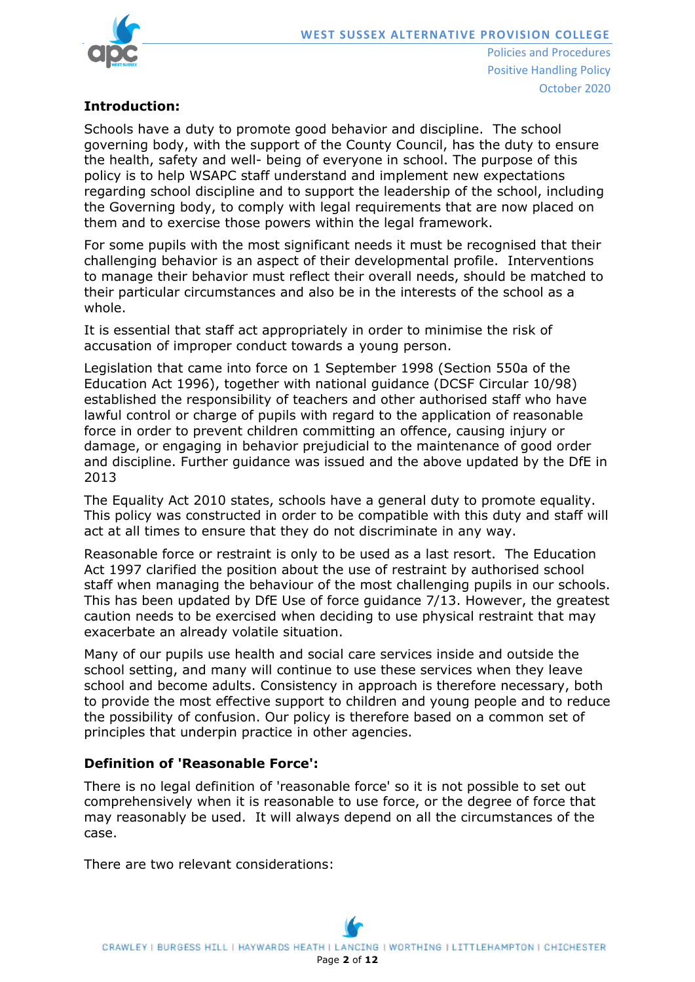

# **Introduction:**

Schools have a duty to promote good behavior and discipline. The school governing body, with the support of the County Council, has the duty to ensure the health, safety and well- being of everyone in school. The purpose of this policy is to help WSAPC staff understand and implement new expectations regarding school discipline and to support the leadership of the school, including the Governing body, to comply with legal requirements that are now placed on them and to exercise those powers within the legal framework.

For some pupils with the most significant needs it must be recognised that their challenging behavior is an aspect of their developmental profile. Interventions to manage their behavior must reflect their overall needs, should be matched to their particular circumstances and also be in the interests of the school as a whole.

It is essential that staff act appropriately in order to minimise the risk of accusation of improper conduct towards a young person.

Legislation that came into force on 1 September 1998 (Section 550a of the Education Act 1996), together with national guidance (DCSF Circular 10/98) established the responsibility of teachers and other authorised staff who have lawful control or charge of pupils with regard to the application of reasonable force in order to prevent children committing an offence, causing injury or damage, or engaging in behavior prejudicial to the maintenance of good order and discipline. Further guidance was issued and the above updated by the DfE in 2013

The Equality Act 2010 states, schools have a general duty to promote equality. This policy was constructed in order to be compatible with this duty and staff will act at all times to ensure that they do not discriminate in any way.

Reasonable force or restraint is only to be used as a last resort. The Education Act 1997 clarified the position about the use of restraint by authorised school staff when managing the behaviour of the most challenging pupils in our schools. This has been updated by DfE Use of force guidance 7/13. However, the greatest caution needs to be exercised when deciding to use physical restraint that may exacerbate an already volatile situation.

Many of our pupils use health and social care services inside and outside the school setting, and many will continue to use these services when they leave school and become adults. Consistency in approach is therefore necessary, both to provide the most effective support to children and young people and to reduce the possibility of confusion. Our policy is therefore based on a common set of principles that underpin practice in other agencies.

### **Definition of 'Reasonable Force':**

There is no legal definition of 'reasonable force' so it is not possible to set out comprehensively when it is reasonable to use force, or the degree of force that may reasonably be used. It will always depend on all the circumstances of the case.

There are two relevant considerations: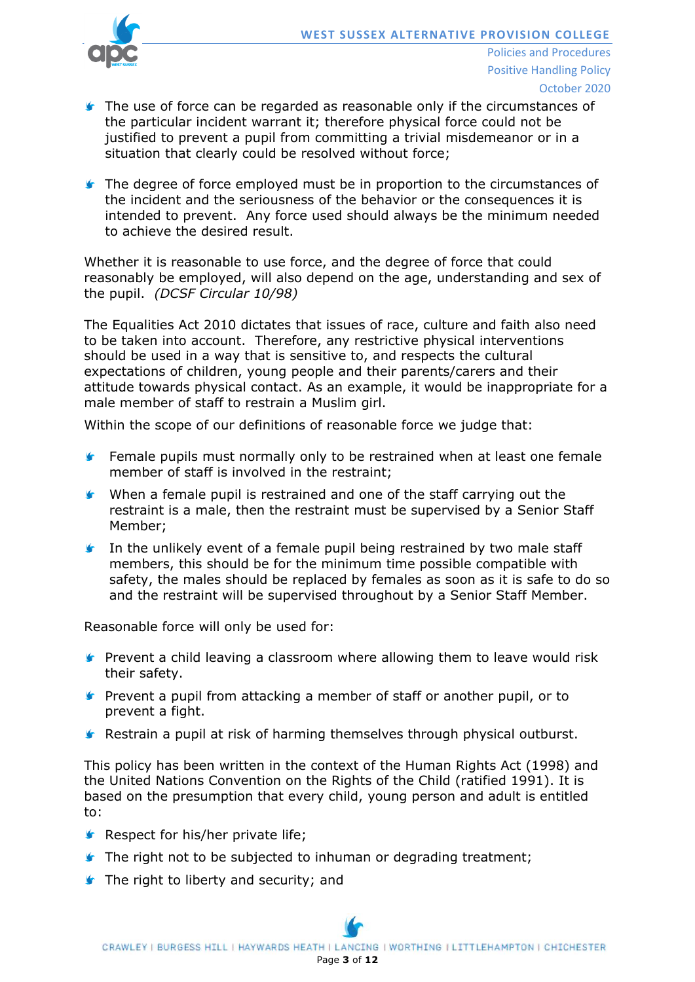

- October 2020
- The use of force can be regarded as reasonable only if the circumstances of the particular incident warrant it; therefore physical force could not be justified to prevent a pupil from committing a trivial misdemeanor or in a situation that clearly could be resolved without force;
- The degree of force employed must be in proportion to the circumstances of the incident and the seriousness of the behavior or the consequences it is intended to prevent. Any force used should always be the minimum needed to achieve the desired result.

Whether it is reasonable to use force, and the degree of force that could reasonably be employed, will also depend on the age, understanding and sex of the pupil. *(DCSF Circular 10/98)*

The Equalities Act 2010 dictates that issues of race, culture and faith also need to be taken into account. Therefore, any restrictive physical interventions should be used in a way that is sensitive to, and respects the cultural expectations of children, young people and their parents/carers and their attitude towards physical contact. As an example, it would be inappropriate for a male member of staff to restrain a Muslim girl.

Within the scope of our definitions of reasonable force we judge that:

- Female pupils must normally only to be restrained when at least one female  $\mathbf{r}$ member of staff is involved in the restraint;
- $\bullet$ When a female pupil is restrained and one of the staff carrying out the restraint is a male, then the restraint must be supervised by a Senior Staff Member;
- In the unlikely event of a female pupil being restrained by two male staff members, this should be for the minimum time possible compatible with safety, the males should be replaced by females as soon as it is safe to do so and the restraint will be supervised throughout by a Senior Staff Member.

Reasonable force will only be used for:

- **F** Prevent a child leaving a classroom where allowing them to leave would risk their safety.
- **F** Prevent a pupil from attacking a member of staff or another pupil, or to prevent a fight.
- **K** Restrain a pupil at risk of harming themselves through physical outburst.

This policy has been written in the context of the Human Rights Act (1998) and the United Nations Convention on the Rights of the Child (ratified 1991). It is based on the presumption that every child, young person and adult is entitled to:

- **Respect for his/her private life;**
- **The right not to be subjected to inhuman or degrading treatment;**
- **The right to liberty and security; and**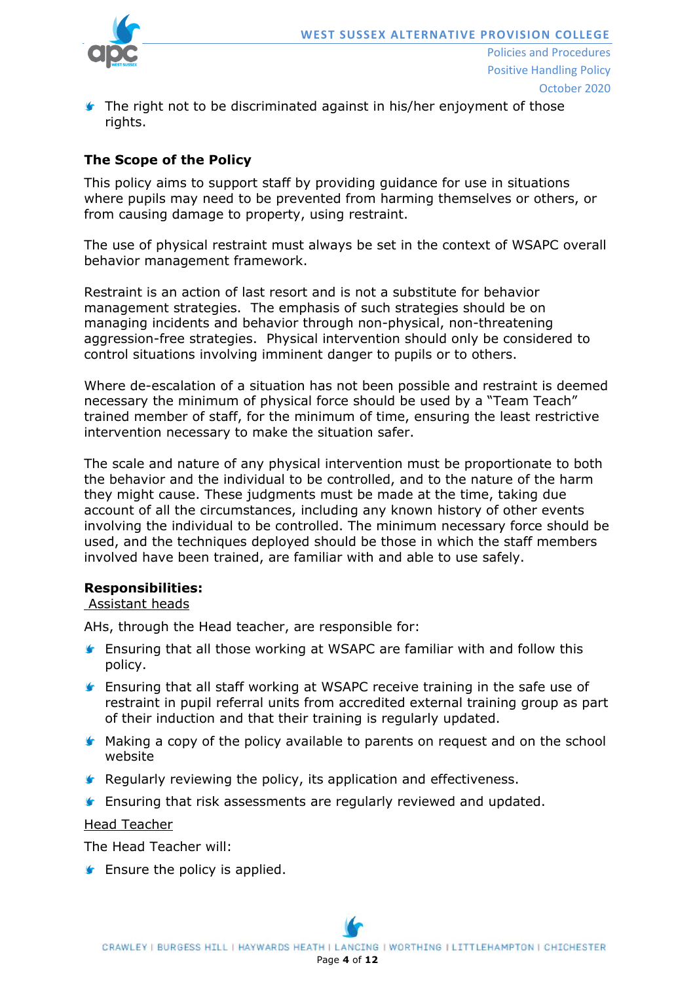

**The right not to be discriminated against in his/her enjoyment of those** rights.

# **The Scope of the Policy**

This policy aims to support staff by providing guidance for use in situations where pupils may need to be prevented from harming themselves or others, or from causing damage to property, using restraint.

The use of physical restraint must always be set in the context of WSAPC overall behavior management framework.

Restraint is an action of last resort and is not a substitute for behavior management strategies. The emphasis of such strategies should be on managing incidents and behavior through non-physical, non-threatening aggression-free strategies. Physical intervention should only be considered to control situations involving imminent danger to pupils or to others.

Where de-escalation of a situation has not been possible and restraint is deemed necessary the minimum of physical force should be used by a "Team Teach" trained member of staff, for the minimum of time, ensuring the least restrictive intervention necessary to make the situation safer.

The scale and nature of any physical intervention must be proportionate to both the behavior and the individual to be controlled, and to the nature of the harm they might cause. These judgments must be made at the time, taking due account of all the circumstances, including any known history of other events involving the individual to be controlled. The minimum necessary force should be used, and the techniques deployed should be those in which the staff members involved have been trained, are familiar with and able to use safely.

#### **Responsibilities:**

#### Assistant heads

AHs, through the Head teacher, are responsible for:

- **F** Ensuring that all those working at WSAPC are familiar with and follow this policy.
- Ensuring that all staff working at WSAPC receive training in the safe use of restraint in pupil referral units from accredited external training group as part of their induction and that their training is regularly updated.
- **K** Making a copy of the policy available to parents on request and on the school website
- **K** Regularly reviewing the policy, its application and effectiveness.
- **Ensuring that risk assessments are regularly reviewed and updated.**

Head Teacher

The Head Teacher will:

 $\blacktriangleright$  Ensure the policy is applied.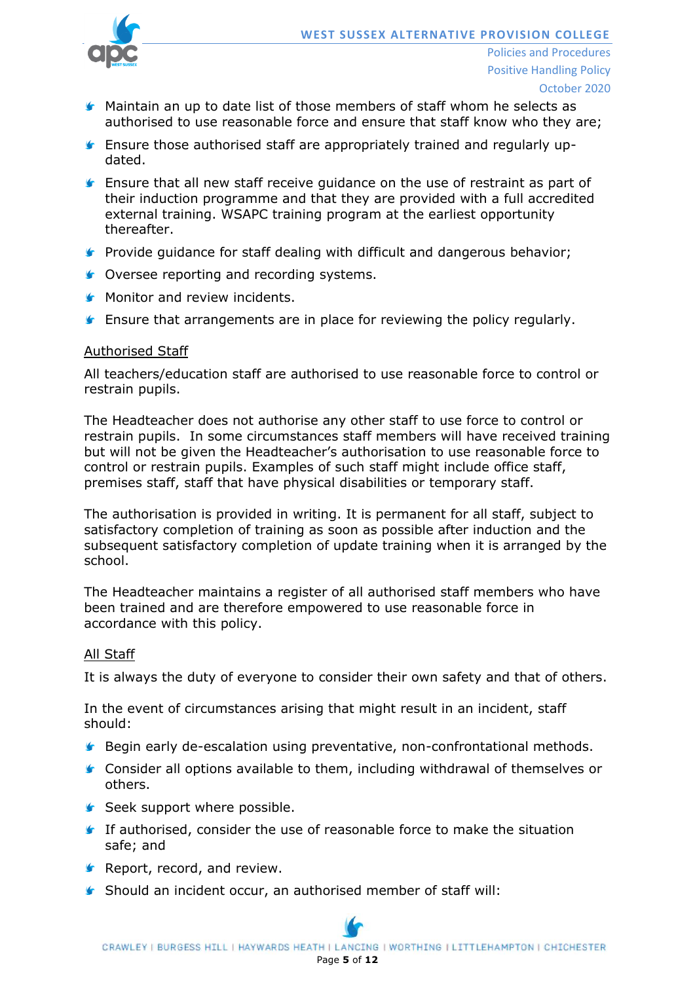

- **K** Maintain an up to date list of those members of staff whom he selects as authorised to use reasonable force and ensure that staff know who they are;
- Ensure those authorised staff are appropriately trained and regularly updated.
- Ensure that all new staff receive guidance on the use of restraint as part of their induction programme and that they are provided with a full accredited external training. WSAPC training program at the earliest opportunity thereafter.
- **Provide guidance for staff dealing with difficult and dangerous behavior;**
- **Coversee reporting and recording systems.**
- **Monitor and review incidents.**
- Ensure that arrangements are in place for reviewing the policy regularly.

#### Authorised Staff

All teachers/education staff are authorised to use reasonable force to control or restrain pupils.

The Headteacher does not authorise any other staff to use force to control or restrain pupils. In some circumstances staff members will have received training but will not be given the Headteacher's authorisation to use reasonable force to control or restrain pupils. Examples of such staff might include office staff, premises staff, staff that have physical disabilities or temporary staff.

The authorisation is provided in writing. It is permanent for all staff, subject to satisfactory completion of training as soon as possible after induction and the subsequent satisfactory completion of update training when it is arranged by the school.

The Headteacher maintains a register of all authorised staff members who have been trained and are therefore empowered to use reasonable force in accordance with this policy.

#### All Staff

It is always the duty of everyone to consider their own safety and that of others.

In the event of circumstances arising that might result in an incident, staff should:

- **Begin early de-escalation using preventative, non-confrontational methods.**
- **Consider all options available to them, including withdrawal of themselves or** others.
- Seek support where possible.
- If authorised, consider the use of reasonable force to make the situation safe; and
- **Report, record, and review.**
- Should an incident occur, an authorised member of staff will: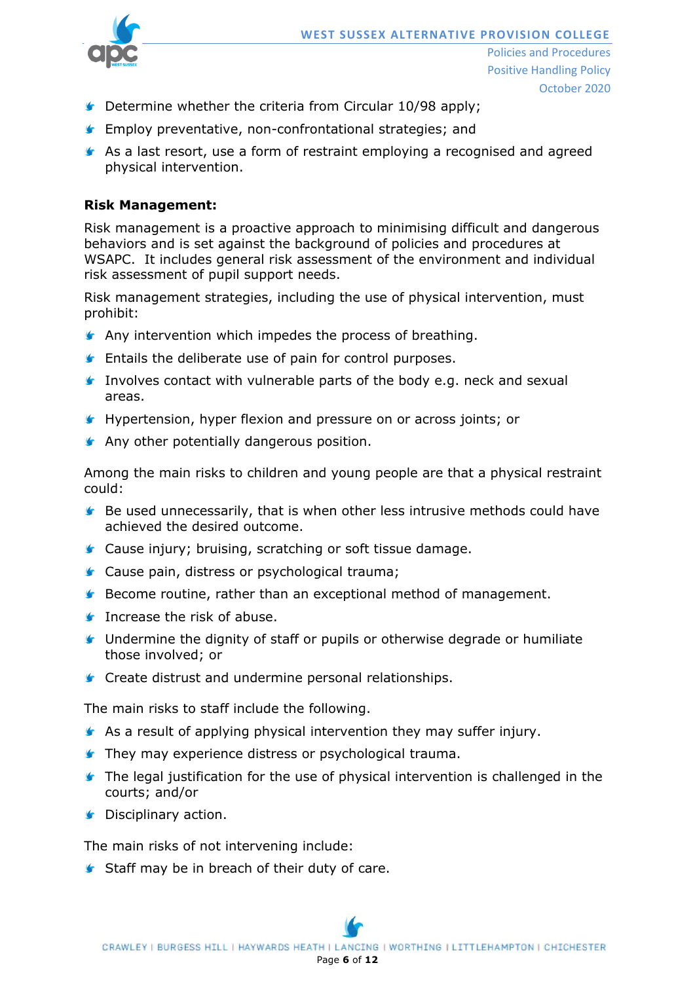

- **C** Determine whether the criteria from Circular 10/98 apply;
- **F** Employ preventative, non-confrontational strategies; and
- As a last resort, use a form of restraint employing a recognised and agreed physical intervention.

#### **Risk Management:**

Risk management is a proactive approach to minimising difficult and dangerous behaviors and is set against the background of policies and procedures at WSAPC. It includes general risk assessment of the environment and individual risk assessment of pupil support needs.

Risk management strategies, including the use of physical intervention, must prohibit:

- **Any intervention which impedes the process of breathing.**
- **F** Entails the deliberate use of pain for control purposes.
- Involves contact with vulnerable parts of the body e.g. neck and sexual areas.
- Hypertension, hyper flexion and pressure on or across joints; or
- **Any other potentially dangerous position.**

Among the main risks to children and young people are that a physical restraint could:

- Be used unnecessarily, that is when other less intrusive methods could have achieved the desired outcome.
- **Cause injury; bruising, scratching or soft tissue damage.**
- **Cause pain, distress or psychological trauma;**
- **Become routine, rather than an exceptional method of management.**
- **Increase the risk of abuse.**
- Undermine the dignity of staff or pupils or otherwise degrade or humiliate those involved; or
- **Create distrust and undermine personal relationships.**

The main risks to staff include the following.

- **As a result of applying physical intervention they may suffer injury.**
- **They may experience distress or psychological trauma.**
- **The legal justification for the use of physical intervention is challenged in the** courts; and/or
- **G** Disciplinary action.

The main risks of not intervening include:

Staff may be in breach of their duty of care.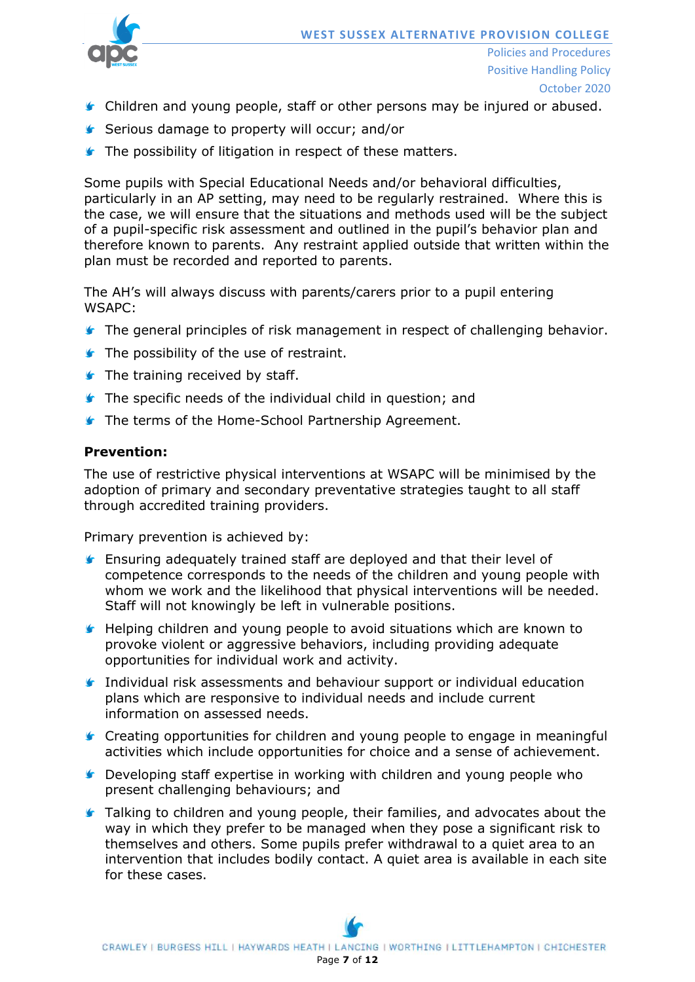

- **Children and young people, staff or other persons may be injured or abused.**
- Serious damage to property will occur; and/or
- **The possibility of litigation in respect of these matters.**

Some pupils with Special Educational Needs and/or behavioral difficulties, particularly in an AP setting, may need to be regularly restrained. Where this is the case, we will ensure that the situations and methods used will be the subject of a pupil-specific risk assessment and outlined in the pupil's behavior plan and therefore known to parents. Any restraint applied outside that written within the plan must be recorded and reported to parents.

The AH's will always discuss with parents/carers prior to a pupil entering WSAPC:

- **The general principles of risk management in respect of challenging behavior.**
- **The possibility of the use of restraint.**
- **The training received by staff.**
- **The specific needs of the individual child in question; and**
- **The terms of the Home-School Partnership Agreement.**

#### **Prevention:**

The use of restrictive physical interventions at WSAPC will be minimised by the adoption of primary and secondary preventative strategies taught to all staff through accredited training providers.

Primary prevention is achieved by:

- **E** Ensuring adequately trained staff are deployed and that their level of competence corresponds to the needs of the children and young people with whom we work and the likelihood that physical interventions will be needed. Staff will not knowingly be left in vulnerable positions.
- **Helping children and young people to avoid situations which are known to** provoke violent or aggressive behaviors, including providing adequate opportunities for individual work and activity.
- Individual risk assessments and behaviour support or individual education plans which are responsive to individual needs and include current information on assessed needs.
- Creating opportunities for children and young people to engage in meaningful activities which include opportunities for choice and a sense of achievement.
- **E** Developing staff expertise in working with children and young people who present challenging behaviours; and
- **Talking to children and young people, their families, and advocates about the** way in which they prefer to be managed when they pose a significant risk to themselves and others. Some pupils prefer withdrawal to a quiet area to an intervention that includes bodily contact. A quiet area is available in each site for these cases.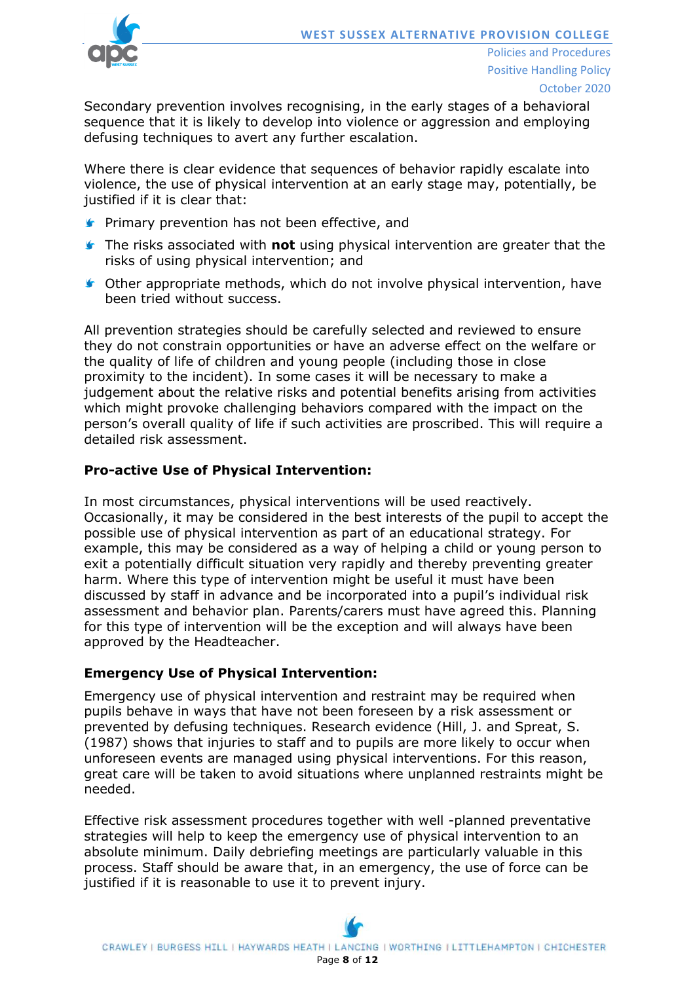

Secondary prevention involves recognising, in the early stages of a behavioral sequence that it is likely to develop into violence or aggression and employing defusing techniques to avert any further escalation.

Where there is clear evidence that sequences of behavior rapidly escalate into violence, the use of physical intervention at an early stage may, potentially, be justified if it is clear that:

- **Primary prevention has not been effective, and**
- The risks associated with **not** using physical intervention are greater that the risks of using physical intervention; and
- **C** Other appropriate methods, which do not involve physical intervention, have been tried without success.

All prevention strategies should be carefully selected and reviewed to ensure they do not constrain opportunities or have an adverse effect on the welfare or the quality of life of children and young people (including those in close proximity to the incident). In some cases it will be necessary to make a judgement about the relative risks and potential benefits arising from activities which might provoke challenging behaviors compared with the impact on the person's overall quality of life if such activities are proscribed. This will require a detailed risk assessment.

### **Pro-active Use of Physical Intervention:**

In most circumstances, physical interventions will be used reactively. Occasionally, it may be considered in the best interests of the pupil to accept the possible use of physical intervention as part of an educational strategy. For example, this may be considered as a way of helping a child or young person to exit a potentially difficult situation very rapidly and thereby preventing greater harm. Where this type of intervention might be useful it must have been discussed by staff in advance and be incorporated into a pupil's individual risk assessment and behavior plan. Parents/carers must have agreed this. Planning for this type of intervention will be the exception and will always have been approved by the Headteacher.

### **Emergency Use of Physical Intervention:**

Emergency use of physical intervention and restraint may be required when pupils behave in ways that have not been foreseen by a risk assessment or prevented by defusing techniques. Research evidence (Hill, J. and Spreat, S. (1987) shows that injuries to staff and to pupils are more likely to occur when unforeseen events are managed using physical interventions. For this reason, great care will be taken to avoid situations where unplanned restraints might be needed.

Effective risk assessment procedures together with well -planned preventative strategies will help to keep the emergency use of physical intervention to an absolute minimum. Daily debriefing meetings are particularly valuable in this process. Staff should be aware that, in an emergency, the use of force can be justified if it is reasonable to use it to prevent injury.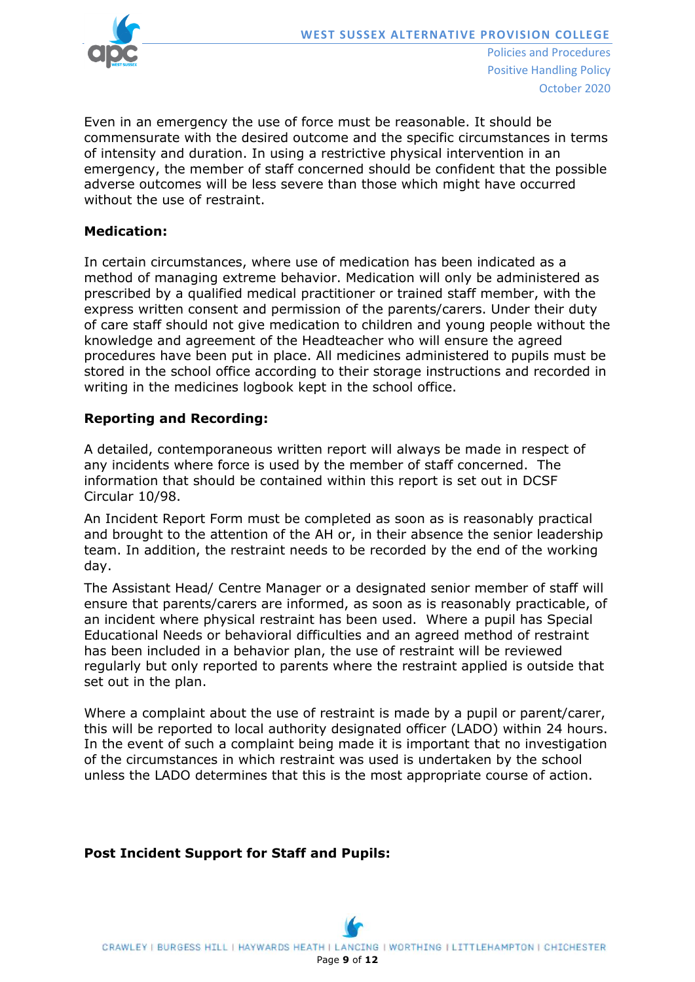

Even in an emergency the use of force must be reasonable. It should be commensurate with the desired outcome and the specific circumstances in terms of intensity and duration. In using a restrictive physical intervention in an emergency, the member of staff concerned should be confident that the possible adverse outcomes will be less severe than those which might have occurred without the use of restraint.

### **Medication:**

In certain circumstances, where use of medication has been indicated as a method of managing extreme behavior. Medication will only be administered as prescribed by a qualified medical practitioner or trained staff member, with the express written consent and permission of the parents/carers. Under their duty of care staff should not give medication to children and young people without the knowledge and agreement of the Headteacher who will ensure the agreed procedures have been put in place. All medicines administered to pupils must be stored in the school office according to their storage instructions and recorded in writing in the medicines logbook kept in the school office.

### **Reporting and Recording:**

A detailed, contemporaneous written report will always be made in respect of any incidents where force is used by the member of staff concerned. The information that should be contained within this report is set out in DCSF Circular 10/98.

An Incident Report Form must be completed as soon as is reasonably practical and brought to the attention of the AH or, in their absence the senior leadership team. In addition, the restraint needs to be recorded by the end of the working day.

The Assistant Head/ Centre Manager or a designated senior member of staff will ensure that parents/carers are informed, as soon as is reasonably practicable, of an incident where physical restraint has been used. Where a pupil has Special Educational Needs or behavioral difficulties and an agreed method of restraint has been included in a behavior plan, the use of restraint will be reviewed regularly but only reported to parents where the restraint applied is outside that set out in the plan.

Where a complaint about the use of restraint is made by a pupil or parent/carer, this will be reported to local authority designated officer (LADO) within 24 hours. In the event of such a complaint being made it is important that no investigation of the circumstances in which restraint was used is undertaken by the school unless the LADO determines that this is the most appropriate course of action.

# **Post Incident Support for Staff and Pupils:**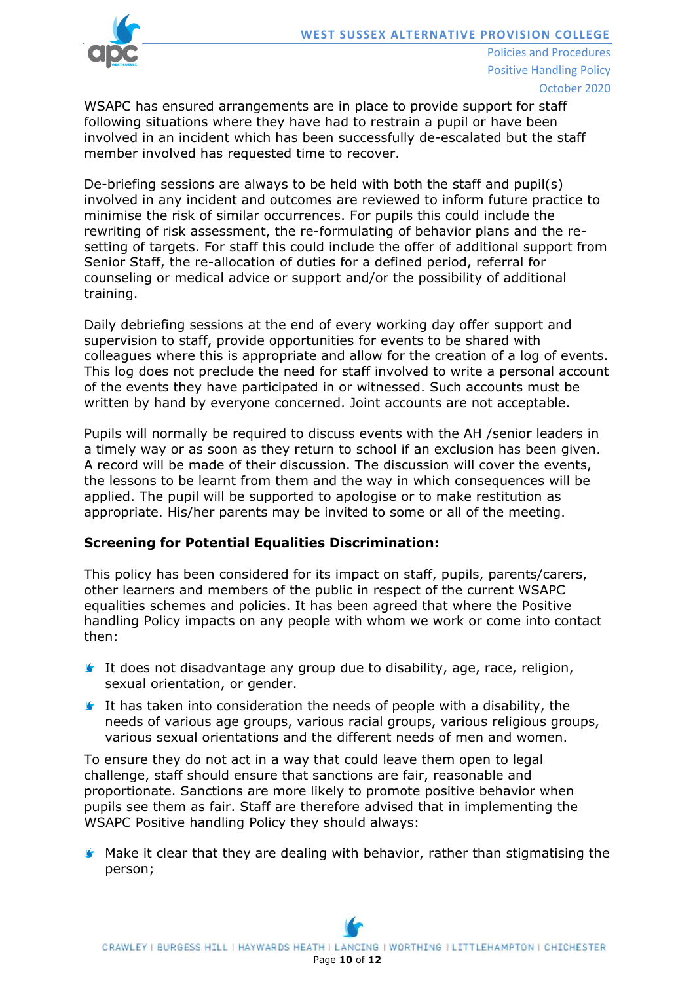

WSAPC has ensured arrangements are in place to provide support for staff

following situations where they have had to restrain a pupil or have been involved in an incident which has been successfully de-escalated but the staff member involved has requested time to recover.

De-briefing sessions are always to be held with both the staff and pupil(s) involved in any incident and outcomes are reviewed to inform future practice to minimise the risk of similar occurrences. For pupils this could include the rewriting of risk assessment, the re-formulating of behavior plans and the resetting of targets. For staff this could include the offer of additional support from Senior Staff, the re-allocation of duties for a defined period, referral for counseling or medical advice or support and/or the possibility of additional training.

Daily debriefing sessions at the end of every working day offer support and supervision to staff, provide opportunities for events to be shared with colleagues where this is appropriate and allow for the creation of a log of events. This log does not preclude the need for staff involved to write a personal account of the events they have participated in or witnessed. Such accounts must be written by hand by everyone concerned. Joint accounts are not acceptable.

Pupils will normally be required to discuss events with the AH /senior leaders in a timely way or as soon as they return to school if an exclusion has been given. A record will be made of their discussion. The discussion will cover the events, the lessons to be learnt from them and the way in which consequences will be applied. The pupil will be supported to apologise or to make restitution as appropriate. His/her parents may be invited to some or all of the meeting.

### **Screening for Potential Equalities Discrimination:**

This policy has been considered for its impact on staff, pupils, parents/carers, other learners and members of the public in respect of the current WSAPC equalities schemes and policies. It has been agreed that where the Positive handling Policy impacts on any people with whom we work or come into contact then:

- It does not disadvantage any group due to disability, age, race, religion, sexual orientation, or gender.
- It has taken into consideration the needs of people with a disability, the needs of various age groups, various racial groups, various religious groups, various sexual orientations and the different needs of men and women.

To ensure they do not act in a way that could leave them open to legal challenge, staff should ensure that sanctions are fair, reasonable and proportionate. Sanctions are more likely to promote positive behavior when pupils see them as fair. Staff are therefore advised that in implementing the WSAPC Positive handling Policy they should always:

**K** Make it clear that they are dealing with behavior, rather than stigmatising the person;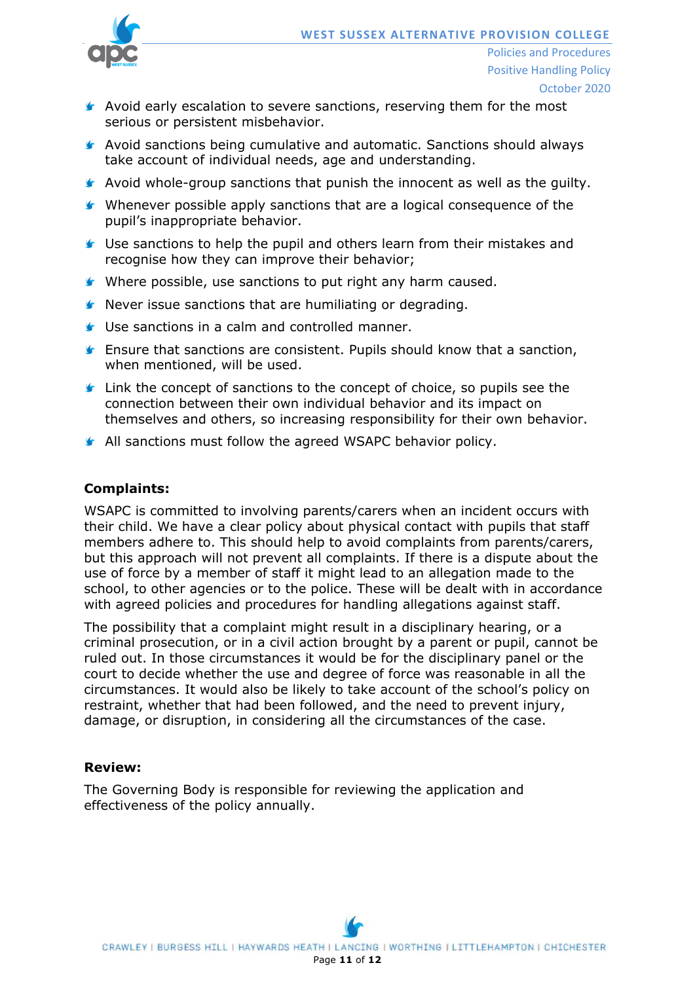

- **Avoid early escalation to severe sanctions, reserving them for the most** serious or persistent misbehavior.
- **Avoid sanctions being cumulative and automatic. Sanctions should always** take account of individual needs, age and understanding.
- **Avoid whole-group sanctions that punish the innocent as well as the guilty.**
- Whenever possible apply sanctions that are a logical consequence of the pupil's inappropriate behavior.
- **G** Use sanctions to help the pupil and others learn from their mistakes and recognise how they can improve their behavior;
- Where possible, use sanctions to put right any harm caused.
- Never issue sanctions that are humiliating or degrading.
- Use sanctions in a calm and controlled manner.
- **Ensure that sanctions are consistent. Pupils should know that a sanction,** when mentioned, will be used.
- **If** Link the concept of sanctions to the concept of choice, so pupils see the connection between their own individual behavior and its impact on themselves and others, so increasing responsibility for their own behavior.
- **All sanctions must follow the agreed WSAPC behavior policy.**

# **Complaints:**

WSAPC is committed to involving parents/carers when an incident occurs with their child. We have a clear policy about physical contact with pupils that staff members adhere to. This should help to avoid complaints from parents/carers, but this approach will not prevent all complaints. If there is a dispute about the use of force by a member of staff it might lead to an allegation made to the school, to other agencies or to the police. These will be dealt with in accordance with agreed policies and procedures for handling allegations against staff.

The possibility that a complaint might result in a disciplinary hearing, or a criminal prosecution, or in a civil action brought by a parent or pupil, cannot be ruled out. In those circumstances it would be for the disciplinary panel or the court to decide whether the use and degree of force was reasonable in all the circumstances. It would also be likely to take account of the school's policy on restraint, whether that had been followed, and the need to prevent injury, damage, or disruption, in considering all the circumstances of the case.

### **Review:**

The Governing Body is responsible for reviewing the application and effectiveness of the policy annually.